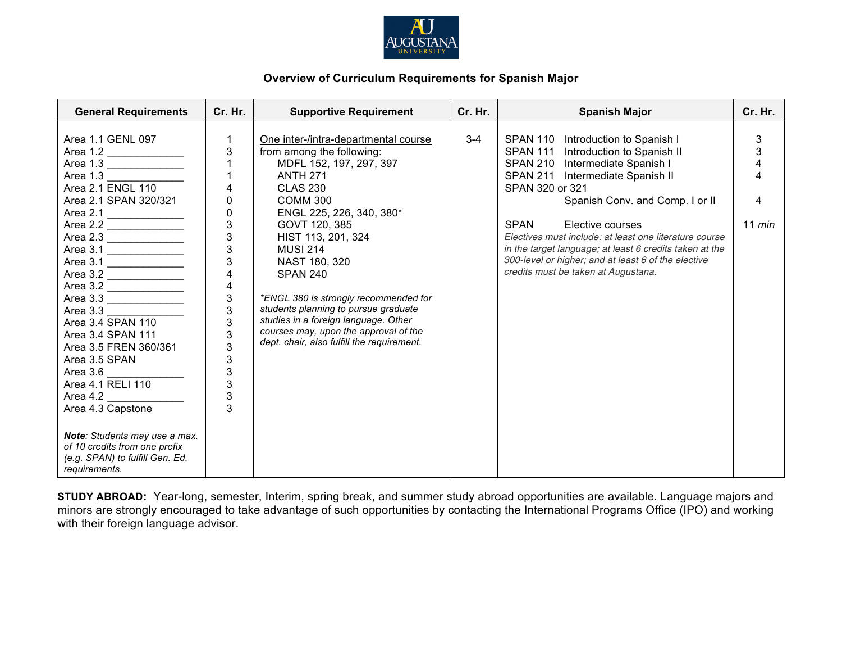

## **Overview of Curriculum Requirements for Spanish Major**

| <b>General Requirements</b>                                                                                                                                                                                                                                                                                                                                                                                                                                                                                                               | Cr. Hr.                                                                                                                                                                                                                                                                                                          | <b>Supportive Requirement</b>                                                                                                                                                                                                                                                                                                                                                                                                                                                                       | Cr. Hr. | <b>Spanish Major</b>                                                                                                                                                                                                                                                                                                                                                                                                                                         | Cr. Hr.                           |
|-------------------------------------------------------------------------------------------------------------------------------------------------------------------------------------------------------------------------------------------------------------------------------------------------------------------------------------------------------------------------------------------------------------------------------------------------------------------------------------------------------------------------------------------|------------------------------------------------------------------------------------------------------------------------------------------------------------------------------------------------------------------------------------------------------------------------------------------------------------------|-----------------------------------------------------------------------------------------------------------------------------------------------------------------------------------------------------------------------------------------------------------------------------------------------------------------------------------------------------------------------------------------------------------------------------------------------------------------------------------------------------|---------|--------------------------------------------------------------------------------------------------------------------------------------------------------------------------------------------------------------------------------------------------------------------------------------------------------------------------------------------------------------------------------------------------------------------------------------------------------------|-----------------------------------|
| Area 1.1 GENL 097<br>Area 1.2<br>Area 1.3<br>Area 2.1 ENGL 110<br>Area 2.1 SPAN 320/321<br>Area 2.1<br>Area 2.2<br>Area 2.3<br>Area 3.1 $\frac{2}{\sqrt{2}}$<br>Area 3.1<br>Area 3.2 $\frac{2}{\sqrt{2}}$<br>Area 3.2 _______________<br>Area 3.3<br>Area 3.3<br>Area 3.4 SPAN 110<br>Area 3.4 SPAN 111<br>Area 3.5 FREN 360/361<br>Area 3.5 SPAN<br>Area 3.6<br>Area 4.1 RELI 110<br>Area 4.2<br>Area 4.3 Capstone<br>Note: Students may use a max.<br>of 10 credits from one prefix<br>(e.g. SPAN) to fulfill Gen. Ed.<br>requirements. | $\mathbf 1$<br>$\ensuremath{\mathsf{3}}$<br>$\mathbf{1}$<br>$\overline{\mathbf{4}}$<br>0<br>$\pmb{0}$<br>$\mathbf{3}$<br>$\frac{3}{3}$<br>3<br>$\overline{\mathbf{4}}$<br>$\begin{array}{c} 4 \\ 3 \\ 3 \end{array}$<br>3<br>$\overline{3}$<br>3<br>$\mathfrak{S}$<br>$\overline{3}$<br>3<br>$\overline{3}$<br>3 | One inter-/intra-departmental course<br>from among the following:<br>MDFL 152, 197, 297, 397<br><b>ANTH 271</b><br><b>CLAS 230</b><br>COMM <sub>300</sub><br>ENGL 225, 226, 340, 380*<br>GOVT 120, 385<br>HIST 113, 201, 324<br><b>MUSI 214</b><br>NAST 180, 320<br><b>SPAN 240</b><br>*ENGL 380 is strongly recommended for<br>students planning to pursue graduate<br>studies in a foreign language. Other<br>courses may, upon the approval of the<br>dept. chair, also fulfill the requirement. | $3 - 4$ | SPAN 110 Introduction to Spanish I<br>SPAN 111 Introduction to Spanish II<br>SPAN 210 Intermediate Spanish I<br>SPAN 211 Intermediate Spanish II<br>SPAN 320 or 321<br>Spanish Conv. and Comp. I or II<br><b>SPAN</b><br>Elective courses<br>Electives must include: at least one literature course<br>in the target language; at least 6 credits taken at the<br>300-level or higher; and at least 6 of the elective<br>credits must be taken at Augustana. | 3<br>3<br>4<br>4<br>4<br>$11$ min |

**STUDY ABROAD:** Year-long, semester, Interim, spring break, and summer study abroad opportunities are available. Language majors and minors are strongly encouraged to take advantage of such opportunities by contacting the International Programs Office (IPO) and working with their foreign language advisor.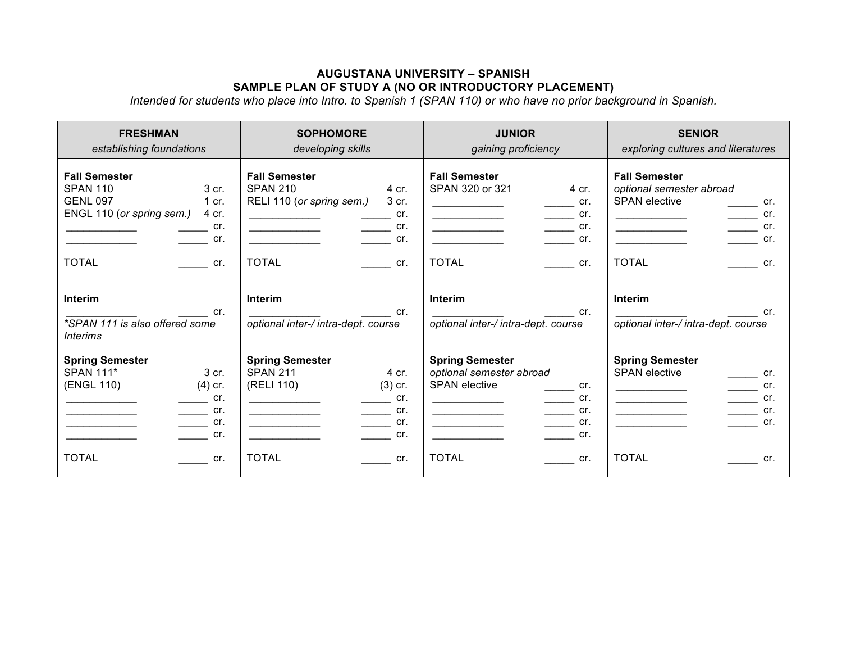## **AUGUSTANA UNIVERSITY – SPANISH SAMPLE PLAN OF STUDY A (NO OR INTRODUCTORY PLACEMENT)**

*Intended for students who place into Intro. to Spanish 1 (SPAN 110) or who have no prior background in Spanish.*

| <b>FRESHMAN</b>                                                                                                                                                                                     | <b>SOPHOMORE</b>                                                                                                                                                                       | <b>JUNIOR</b>                                                                                                                                                                                                                                                                                                                                                                                                                                                                                                                                                                                                                                                                              | <b>SENIOR</b>                                                                                                                                                                                              |
|-----------------------------------------------------------------------------------------------------------------------------------------------------------------------------------------------------|----------------------------------------------------------------------------------------------------------------------------------------------------------------------------------------|--------------------------------------------------------------------------------------------------------------------------------------------------------------------------------------------------------------------------------------------------------------------------------------------------------------------------------------------------------------------------------------------------------------------------------------------------------------------------------------------------------------------------------------------------------------------------------------------------------------------------------------------------------------------------------------------|------------------------------------------------------------------------------------------------------------------------------------------------------------------------------------------------------------|
| establishing foundations                                                                                                                                                                            | developing skills                                                                                                                                                                      | gaining proficiency                                                                                                                                                                                                                                                                                                                                                                                                                                                                                                                                                                                                                                                                        | exploring cultures and literatures                                                                                                                                                                         |
| <b>Fall Semester</b><br><b>SPAN 110</b><br>3 cr.<br><b>GENL 097</b><br>1 cr.<br>ENGL 110 (or spring sem.)<br>4 cr.<br>cr.<br>cr.                                                                    | <b>Fall Semester</b><br><b>SPAN 210</b><br>4 cr.<br>RELI 110 (or spring sem.)<br>3 cr.<br>cr.<br>$\rule{1em}{0.15mm}$ cr.<br>$\overline{\phantom{a}}$ and $\overline{\phantom{a}}$ cr. | <b>Fall Semester</b><br>SPAN 320 or 321<br>4 cr.<br>cr.<br>$\rule{1em}{0.15mm}$ cr.<br><u> 1990 - Johann Barbara, martin a</u><br>$\frac{cr}{\sqrt{r}}$ cr.                                                                                                                                                                                                                                                                                                                                                                                                                                                                                                                                | <b>Fall Semester</b><br>optional semester abroad<br><b>SPAN</b> elective<br>cr.<br>cr.<br>$\sim$ 100 $\mu$<br>$\frac{1}{\sqrt{1-\frac{1}{c}}}$ cr.<br><u> Alexandria de la conte</u>                       |
| <b>TOTAL</b><br>$\mathsf{cr}$ .                                                                                                                                                                     | <b>TOTAL</b><br>cr.                                                                                                                                                                    | <b>TOTAL</b><br>$\overline{\mathbf{C}}$ cr.                                                                                                                                                                                                                                                                                                                                                                                                                                                                                                                                                                                                                                                | <b>TOTAL</b><br>cr.                                                                                                                                                                                        |
| Interim<br>cr.<br>*SPAN 111 is also offered some<br><i>Interims</i>                                                                                                                                 | Interim<br>cr.<br>optional inter-/ intra-dept. course                                                                                                                                  | Interim<br>cr.<br>optional inter-/ intra-dept. course                                                                                                                                                                                                                                                                                                                                                                                                                                                                                                                                                                                                                                      | <b>Interim</b><br>cr.<br>optional inter-/ intra-dept. course                                                                                                                                               |
| <b>Spring Semester</b><br><b>SPAN 111*</b><br>3 cr.<br>(ENGL 110)<br>$(4)$ cr.<br>$\frac{1}{\sqrt{1-\frac{1}{2}}}\text{cr.}$<br>$\overline{\phantom{a}}$ cr.<br>$\overline{\phantom{a}}$ cr.<br>cr. | <b>Spring Semester</b><br><b>SPAN 211</b><br>4 cr.<br>(RELI 110)<br>$(3)$ cr.<br>cr.<br>$\rule{1em}{0.15mm}$ cr.<br>$\overline{\phantom{a}}$ cr.<br>cr.                                | <b>Spring Semester</b><br>optional semester abroad<br><b>SPAN</b> elective<br>cr.<br>$\frac{1}{\sqrt{1-\frac{1}{2}}}\text{cr.}$<br>$\frac{1}{\sqrt{1-\frac{1}{2}}}\text{cr.}$<br>$\begin{tabular}{cccccc} \multicolumn{2}{c }{\textbf{1} & \textbf{2} & \textbf{3} & \textbf{4} & \textbf{5} & \textbf{5} & \textbf{6} & \textbf{7} & \textbf{8} & \textbf{9} & \textbf{10} & \textbf{10} & \textbf{10} & \textbf{10} & \textbf{10} & \textbf{10} & \textbf{10} & \textbf{10} & \textbf{10} & \textbf{10} & \textbf{10} & \textbf{10} & \textbf{10} & \textbf{10} & \textbf{10} & \textbf{10} & \textbf$<br>$\overline{\phantom{a}}$ cr.<br><u> 1989 - Johann Barbara, martin a</u><br>cr. | <b>Spring Semester</b><br><b>SPAN</b> elective<br>$\rule{1em}{0.15mm}$ cr.<br>$\overline{\phantom{a}}$ cr.<br>$\frac{cr}{\sqrt{cr}}$ cr.<br><u> Listen von de Statistike von de Sta</u><br>$\mathsf{cr}$ . |
| <b>TOTAL</b><br>$\mathsf{cr}$ .                                                                                                                                                                     | <b>TOTAL</b><br>cr.                                                                                                                                                                    | <b>TOTAL</b><br>$\mathsf{cr}$ .                                                                                                                                                                                                                                                                                                                                                                                                                                                                                                                                                                                                                                                            | <b>TOTAL</b><br>cr.                                                                                                                                                                                        |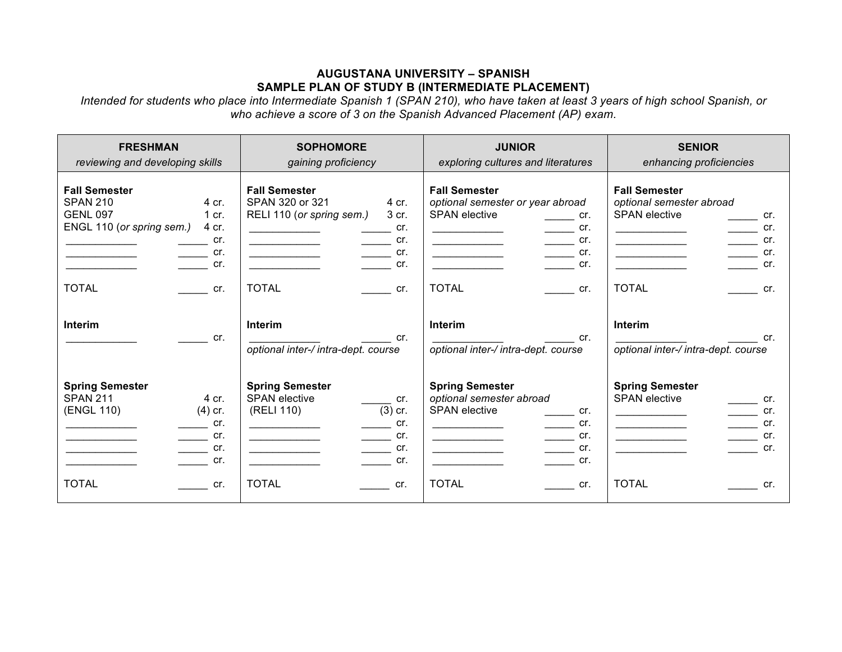## **AUGUSTANA UNIVERSITY – SPANISH SAMPLE PLAN OF STUDY B (INTERMEDIATE PLACEMENT)**

*Intended for students who place into Intermediate Spanish 1 (SPAN 210), who have taken at least 3 years of high school Spanish, or who achieve a score of 3 on the Spanish Advanced Placement (AP) exam.*

| <b>FRESHMAN</b><br>reviewing and developing skills                                                                                                                                                                                                                                                                          | <b>SOPHOMORE</b><br>gaining proficiency                                                                                                                                                                                                                                                                                                                                                                              | <b>JUNIOR</b><br>exploring cultures and literatures                                                                                                                                                                                                                    | <b>SENIOR</b><br>enhancing proficiencies                                                                                                                                                                                                    |
|-----------------------------------------------------------------------------------------------------------------------------------------------------------------------------------------------------------------------------------------------------------------------------------------------------------------------------|----------------------------------------------------------------------------------------------------------------------------------------------------------------------------------------------------------------------------------------------------------------------------------------------------------------------------------------------------------------------------------------------------------------------|------------------------------------------------------------------------------------------------------------------------------------------------------------------------------------------------------------------------------------------------------------------------|---------------------------------------------------------------------------------------------------------------------------------------------------------------------------------------------------------------------------------------------|
| <b>Fall Semester</b><br><b>SPAN 210</b><br>4 cr.<br><b>GENL 097</b><br>$1$ cr.<br>ENGL 110 (or spring sem.)<br>4 cr.<br>$\equiv$ cr.<br>$\rule{1em}{0.15mm}$ cr.<br>cr.<br><b>TOTAL</b><br>$\mathsf{cr}$ .                                                                                                                  | <b>Fall Semester</b><br>SPAN 320 or 321<br>4 cr.<br>RELI 110 (or spring sem.)<br>3 cr.<br>cr.<br>$\frac{1}{\sqrt{1-\frac{1}{2}}}\text{cr.}$<br><u> 1990 - Johann Barbara, martin a</u><br>$\frac{1}{\sqrt{1-\frac{1}{2}}}\text{cr.}$<br>$\mathsf{cr}$ .<br><b>TOTAL</b><br>$\mathsf{cr}$ .                                                                                                                           | <b>Fall Semester</b><br>optional semester or year abroad<br><b>SPAN</b> elective<br>$\mathsf{cr}$ .<br>$\rule{1em}{0.15mm}$ cr.<br>$\frac{cr}{\sqrt{cr}}$ cr.<br>cr.<br><b>TOTAL</b><br>$\mathsf{cr}$ .                                                                | <b>Fall Semester</b><br>optional semester abroad<br><b>SPAN</b> elective<br>cr.<br>cr.<br>$\mathcal{L}^{\text{max}}$<br>$\frac{1}{1}$<br>cr.<br><u> 1990 - Johann Barn, mars and de la</u><br>cr.<br>cr.<br><b>TOTAL</b><br>$\mathsf{cr}$ . |
| <b>Interim</b><br>$\mathsf{cr}$ .                                                                                                                                                                                                                                                                                           | Interim<br>cr.<br>optional inter-/ intra-dept. course                                                                                                                                                                                                                                                                                                                                                                | Interim<br>cr.<br>optional inter-/ intra-dept. course                                                                                                                                                                                                                  | <b>Interim</b><br>cr.<br>optional inter-/ intra-dept. course                                                                                                                                                                                |
| <b>Spring Semester</b><br><b>SPAN 211</b><br>4 cr.<br>(ENGL 110)<br>$(4)$ cr.<br>$\frac{1}{\sqrt{1-\frac{1}{2}}}\text{cr.}$<br>$\overline{\phantom{a}}$ cr.<br><u> 1989 - Johann Barn, mars and de Branch Barn, mars and de Branch Barn, mars and de Branch Barn, mars and de Br</u><br>$\overline{\phantom{a}}$ cr.<br>cr. | <b>Spring Semester</b><br><b>SPAN</b> elective<br>cr.<br>$(3)$ cr.<br>(RELI 110)<br>cr.<br>$\overline{\phantom{a}}$ cr.<br><u> 1990 - John Harry Harry Harry Harry Harry Harry Harry Harry Harry Harry Harry Harry Harry Harry Harry Harry Harry Harry Harry Harry Harry Harry Harry Harry Harry Harry Harry Harry Harry Harry Harry Harry Harry Harry Harr</u><br>$\frac{1}{\sqrt{1-\frac{1}{2}}}\text{cr.}$<br>cr. | <b>Spring Semester</b><br>optional semester abroad<br><b>SPAN</b> elective<br>cr.<br>$\frac{1}{\sqrt{1-\frac{1}{2}}}\text{cr.}$<br>$\frac{1}{\sqrt{1-\frac{1}{2}}}\text{cr.}$<br><u> The Communication of the Communication</u><br>$\overline{\phantom{a}}$ cr.<br>cr. | <b>Spring Semester</b><br><b>SPAN</b> elective<br>cr.<br>$\rule{1em}{0.15mm}$ cr.<br>$\frac{1}{\sqrt{1-\frac{1}{c}}}$ cr.<br>the control of the control of the control of<br><u> 1980 - Johann Barbara, martin a</u><br>cr.                 |
| <b>TOTAL</b><br>$\mathsf{cr}$ .                                                                                                                                                                                                                                                                                             | <b>TOTAL</b><br>cr.                                                                                                                                                                                                                                                                                                                                                                                                  | <b>TOTAL</b><br>$\mathsf{cr}$ .                                                                                                                                                                                                                                        | <b>TOTAL</b><br>cr.                                                                                                                                                                                                                         |